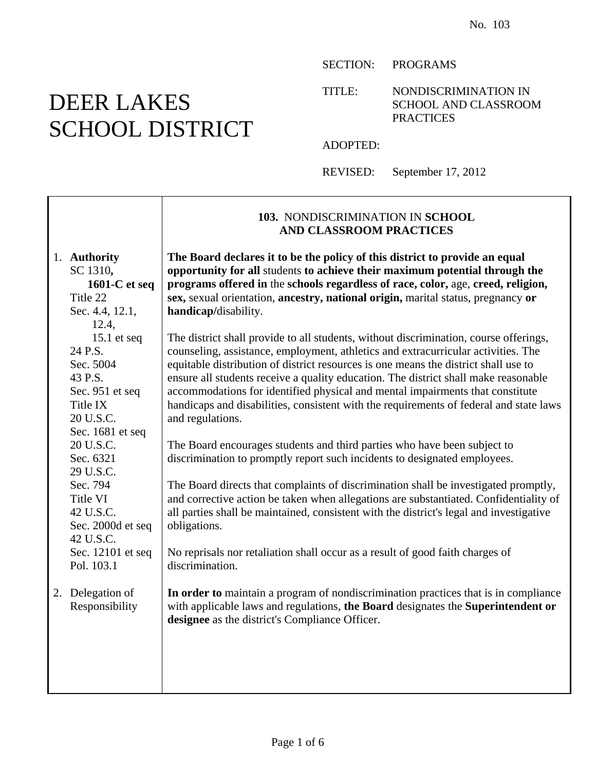SECTION: PROGRAMS

TITLE: NONDISCRIMINATION IN SCHOOL AND CLASSROOM PRACTICES

ADOPTED:

REVISED: September 17, 2012

|                                                                                                                                                                   | 103. NONDISCRIMINATION IN SCHOOL<br><b>AND CLASSROOM PRACTICES</b>                                                                                                                                                                                                                                                                                                                                                                                                                                                                                      |
|-------------------------------------------------------------------------------------------------------------------------------------------------------------------|---------------------------------------------------------------------------------------------------------------------------------------------------------------------------------------------------------------------------------------------------------------------------------------------------------------------------------------------------------------------------------------------------------------------------------------------------------------------------------------------------------------------------------------------------------|
| 1. Authority<br>SC 1310,<br>1601-C et seq<br>Title 22<br>Sec. 4.4, 12.1,<br>12.4,                                                                                 | The Board declares it to be the policy of this district to provide an equal<br>opportunity for all students to achieve their maximum potential through the<br>programs offered in the schools regardless of race, color, age, creed, religion,<br>sex, sexual orientation, ancestry, national origin, marital status, pregnancy or<br>handicap/disability.                                                                                                                                                                                              |
| 15.1 $etseq$<br>24 P.S.<br>Sec. 5004<br>43 P.S.<br>Sec. 951 et seq<br>Title IX<br>20 U.S.C.                                                                       | The district shall provide to all students, without discrimination, course offerings,<br>counseling, assistance, employment, athletics and extracurricular activities. The<br>equitable distribution of district resources is one means the district shall use to<br>ensure all students receive a quality education. The district shall make reasonable<br>accommodations for identified physical and mental impairments that constitute<br>handicaps and disabilities, consistent with the requirements of federal and state laws<br>and regulations. |
| Sec. 1681 et seq<br>20 U.S.C.<br>Sec. 6321<br>29 U.S.C.<br>Sec. 794<br>Title VI<br>42 U.S.C.<br>Sec. 2000d et seq<br>42 U.S.C.<br>Sec. 12101 et seq<br>Pol. 103.1 | The Board encourages students and third parties who have been subject to<br>discrimination to promptly report such incidents to designated employees.<br>The Board directs that complaints of discrimination shall be investigated promptly,<br>and corrective action be taken when allegations are substantiated. Confidentiality of<br>all parties shall be maintained, consistent with the district's legal and investigative<br>obligations.<br>No reprisals nor retaliation shall occur as a result of good faith charges of<br>discrimination.    |
| 2. Delegation of<br>Responsibility                                                                                                                                | In order to maintain a program of nondiscrimination practices that is in compliance<br>with applicable laws and regulations, the Board designates the Superintendent or<br>designee as the district's Compliance Officer.                                                                                                                                                                                                                                                                                                                               |

# DEER LAKES SCHOOL DISTRICT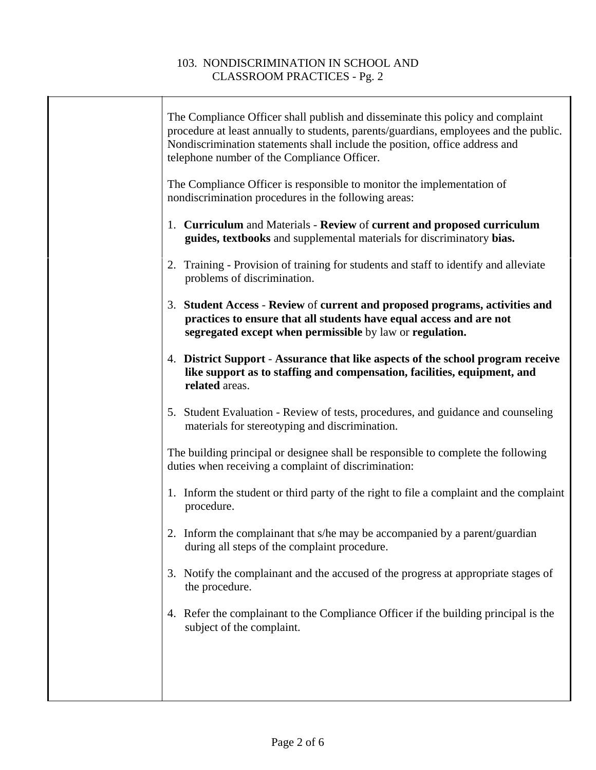| The Compliance Officer shall publish and disseminate this policy and complaint<br>procedure at least annually to students, parents/guardians, employees and the public.<br>Nondiscrimination statements shall include the position, office address and<br>telephone number of the Compliance Officer. |
|-------------------------------------------------------------------------------------------------------------------------------------------------------------------------------------------------------------------------------------------------------------------------------------------------------|
| The Compliance Officer is responsible to monitor the implementation of<br>nondiscrimination procedures in the following areas:                                                                                                                                                                        |
| 1. Curriculum and Materials - Review of current and proposed curriculum<br>guides, textbooks and supplemental materials for discriminatory bias.                                                                                                                                                      |
| 2. Training - Provision of training for students and staff to identify and alleviate<br>problems of discrimination.                                                                                                                                                                                   |
| 3. Student Access - Review of current and proposed programs, activities and<br>practices to ensure that all students have equal access and are not<br>segregated except when permissible by law or regulation.                                                                                        |
| 4. District Support - Assurance that like aspects of the school program receive<br>like support as to staffing and compensation, facilities, equipment, and<br>related areas.                                                                                                                         |
| 5. Student Evaluation - Review of tests, procedures, and guidance and counseling<br>materials for stereotyping and discrimination.                                                                                                                                                                    |
| The building principal or designee shall be responsible to complete the following<br>duties when receiving a complaint of discrimination:                                                                                                                                                             |
| 1. Inform the student or third party of the right to file a complaint and the complaint<br>procedure.                                                                                                                                                                                                 |
| 2. Inform the complainant that s/he may be accompanied by a parent/guardian<br>during all steps of the complaint procedure.                                                                                                                                                                           |
| 3. Notify the complainant and the accused of the progress at appropriate stages of<br>the procedure.                                                                                                                                                                                                  |
| 4. Refer the complainant to the Compliance Officer if the building principal is the<br>subject of the complaint.                                                                                                                                                                                      |
|                                                                                                                                                                                                                                                                                                       |
|                                                                                                                                                                                                                                                                                                       |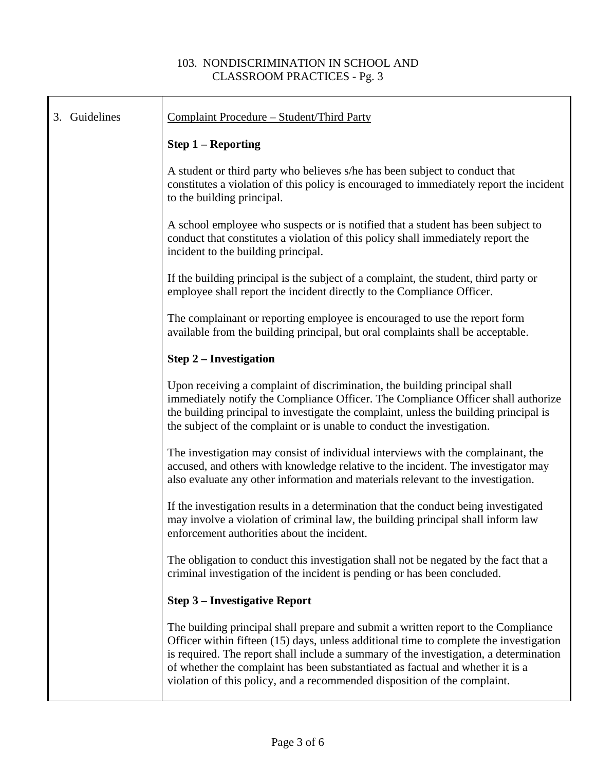| 3. Guidelines | Complaint Procedure - Student/Third Party                                                                                                                                                                                                                                                                                                                                                                                            |
|---------------|--------------------------------------------------------------------------------------------------------------------------------------------------------------------------------------------------------------------------------------------------------------------------------------------------------------------------------------------------------------------------------------------------------------------------------------|
|               | <b>Step 1 – Reporting</b>                                                                                                                                                                                                                                                                                                                                                                                                            |
|               | A student or third party who believes s/he has been subject to conduct that<br>constitutes a violation of this policy is encouraged to immediately report the incident<br>to the building principal.                                                                                                                                                                                                                                 |
|               | A school employee who suspects or is notified that a student has been subject to<br>conduct that constitutes a violation of this policy shall immediately report the<br>incident to the building principal.                                                                                                                                                                                                                          |
|               | If the building principal is the subject of a complaint, the student, third party or<br>employee shall report the incident directly to the Compliance Officer.                                                                                                                                                                                                                                                                       |
|               | The complainant or reporting employee is encouraged to use the report form<br>available from the building principal, but oral complaints shall be acceptable.                                                                                                                                                                                                                                                                        |
|               | <b>Step 2 – Investigation</b>                                                                                                                                                                                                                                                                                                                                                                                                        |
|               | Upon receiving a complaint of discrimination, the building principal shall<br>immediately notify the Compliance Officer. The Compliance Officer shall authorize<br>the building principal to investigate the complaint, unless the building principal is<br>the subject of the complaint or is unable to conduct the investigation.                                                                                                  |
|               | The investigation may consist of individual interviews with the complainant, the<br>accused, and others with knowledge relative to the incident. The investigator may<br>also evaluate any other information and materials relevant to the investigation.                                                                                                                                                                            |
|               | If the investigation results in a determination that the conduct being investigated<br>may involve a violation of criminal law, the building principal shall inform law<br>enforcement authorities about the incident.                                                                                                                                                                                                               |
|               | The obligation to conduct this investigation shall not be negated by the fact that a<br>criminal investigation of the incident is pending or has been concluded.                                                                                                                                                                                                                                                                     |
|               | <b>Step 3 - Investigative Report</b>                                                                                                                                                                                                                                                                                                                                                                                                 |
|               | The building principal shall prepare and submit a written report to the Compliance<br>Officer within fifteen (15) days, unless additional time to complete the investigation<br>is required. The report shall include a summary of the investigation, a determination<br>of whether the complaint has been substantiated as factual and whether it is a<br>violation of this policy, and a recommended disposition of the complaint. |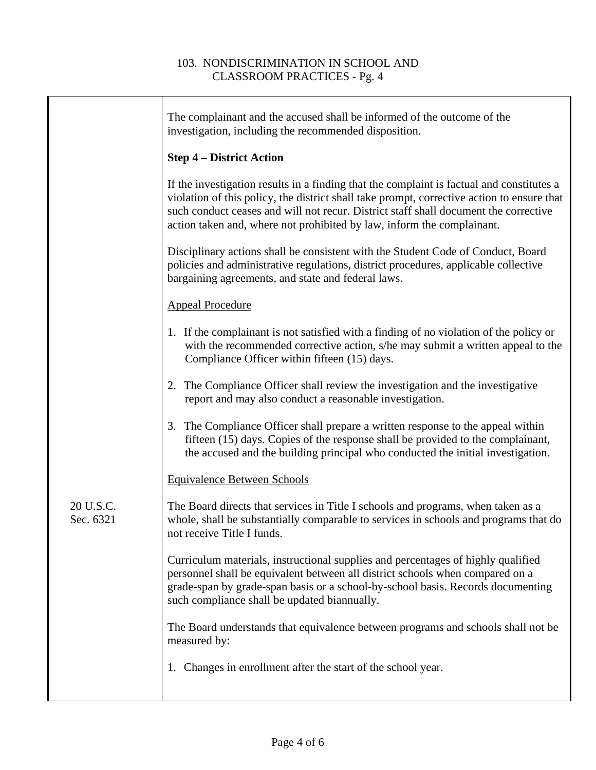|                        | The complainant and the accused shall be informed of the outcome of the<br>investigation, including the recommended disposition.                                                                                                                                                                                                                          |
|------------------------|-----------------------------------------------------------------------------------------------------------------------------------------------------------------------------------------------------------------------------------------------------------------------------------------------------------------------------------------------------------|
|                        | <b>Step 4 – District Action</b>                                                                                                                                                                                                                                                                                                                           |
|                        | If the investigation results in a finding that the complaint is factual and constitutes a<br>violation of this policy, the district shall take prompt, corrective action to ensure that<br>such conduct ceases and will not recur. District staff shall document the corrective<br>action taken and, where not prohibited by law, inform the complainant. |
|                        | Disciplinary actions shall be consistent with the Student Code of Conduct, Board<br>policies and administrative regulations, district procedures, applicable collective<br>bargaining agreements, and state and federal laws.                                                                                                                             |
|                        | <b>Appeal Procedure</b>                                                                                                                                                                                                                                                                                                                                   |
|                        | 1. If the complainant is not satisfied with a finding of no violation of the policy or<br>with the recommended corrective action, s/he may submit a written appeal to the<br>Compliance Officer within fifteen (15) days.                                                                                                                                 |
|                        | 2. The Compliance Officer shall review the investigation and the investigative<br>report and may also conduct a reasonable investigation.                                                                                                                                                                                                                 |
|                        | 3. The Compliance Officer shall prepare a written response to the appeal within<br>fifteen (15) days. Copies of the response shall be provided to the complainant,<br>the accused and the building principal who conducted the initial investigation.                                                                                                     |
|                        | <b>Equivalence Between Schools</b>                                                                                                                                                                                                                                                                                                                        |
| 20 U.S.C.<br>Sec. 6321 | The Board directs that services in Title I schools and programs, when taken as a<br>whole, shall be substantially comparable to services in schools and programs that do<br>not receive Title I funds.                                                                                                                                                    |
|                        | Curriculum materials, instructional supplies and percentages of highly qualified<br>personnel shall be equivalent between all district schools when compared on a<br>grade-span by grade-span basis or a school-by-school basis. Records documenting<br>such compliance shall be updated biannually.                                                      |
|                        | The Board understands that equivalence between programs and schools shall not be<br>measured by:                                                                                                                                                                                                                                                          |
|                        | 1. Changes in enrollment after the start of the school year.                                                                                                                                                                                                                                                                                              |
|                        |                                                                                                                                                                                                                                                                                                                                                           |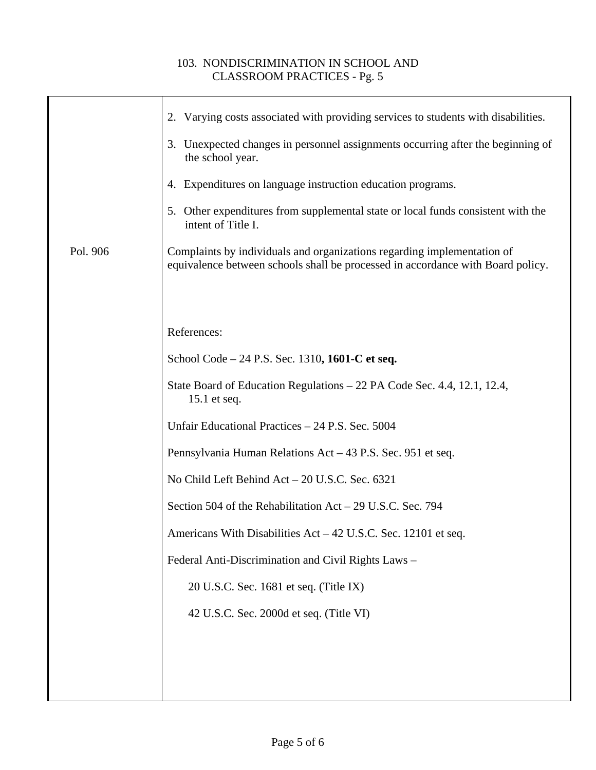|          | 2. Varying costs associated with providing services to students with disabilities.                                                                         |
|----------|------------------------------------------------------------------------------------------------------------------------------------------------------------|
|          | 3. Unexpected changes in personnel assignments occurring after the beginning of<br>the school year.                                                        |
|          | 4. Expenditures on language instruction education programs.                                                                                                |
|          | 5. Other expenditures from supplemental state or local funds consistent with the<br>intent of Title I.                                                     |
| Pol. 906 | Complaints by individuals and organizations regarding implementation of<br>equivalence between schools shall be processed in accordance with Board policy. |
|          |                                                                                                                                                            |
|          | References:                                                                                                                                                |
|          |                                                                                                                                                            |
|          | School Code – 24 P.S. Sec. 1310, 1601-C et seq.                                                                                                            |
|          | State Board of Education Regulations – 22 PA Code Sec. 4.4, 12.1, 12.4,<br>15.1 et seq.                                                                    |
|          | Unfair Educational Practices - 24 P.S. Sec. 5004                                                                                                           |
|          | Pennsylvania Human Relations Act – 43 P.S. Sec. 951 et seq.                                                                                                |
|          | No Child Left Behind Act - 20 U.S.C. Sec. 6321                                                                                                             |
|          | Section 504 of the Rehabilitation Act – 29 U.S.C. Sec. 794                                                                                                 |
|          | Americans With Disabilities Act – 42 U.S.C. Sec. 12101 et seq.                                                                                             |
|          | Federal Anti-Discrimination and Civil Rights Laws -                                                                                                        |
|          | 20 U.S.C. Sec. 1681 et seq. (Title IX)                                                                                                                     |
|          | 42 U.S.C. Sec. 2000d et seq. (Title VI)                                                                                                                    |
|          |                                                                                                                                                            |
|          |                                                                                                                                                            |
|          |                                                                                                                                                            |